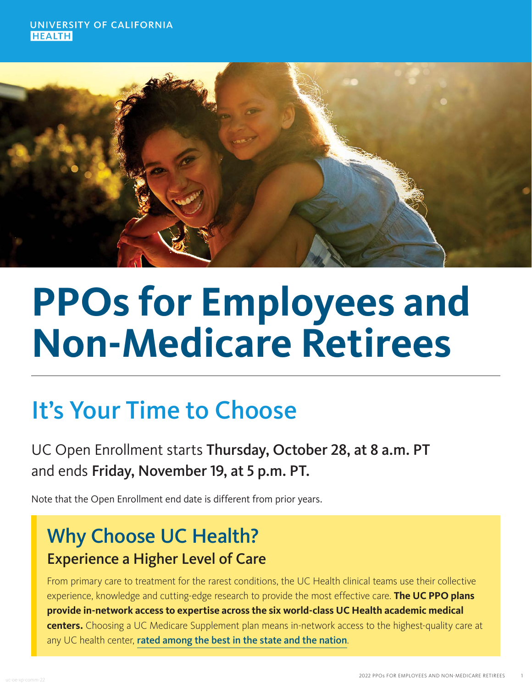

# **PPOs for Employees and Non-Medicare Retirees**

## It's Your Time to Choose

UC Open Enrollment starts Thursday, October 28, at 8 a.m. PT and ends Friday, November 19, at 5 p.m. PT.

Note that the Open Enrollment end date is different from prior years.

## Why Choose UC Health? Experience a Higher Level of Care

From primary care to treatment for the rarest conditions, the UC Health clinical teams use their collective experience, knowledge and cutting-edge research to provide the most effective care. **The UC PPO plans provide in-network access to expertise across the six world-class UC Health academic medical centers.** Choosing a UC Medicare Supplement plan means in-network access to the highest-quality care at any UC health center, [rated among the best in the state and the nation](https://health.usnews.com/best-hospitals).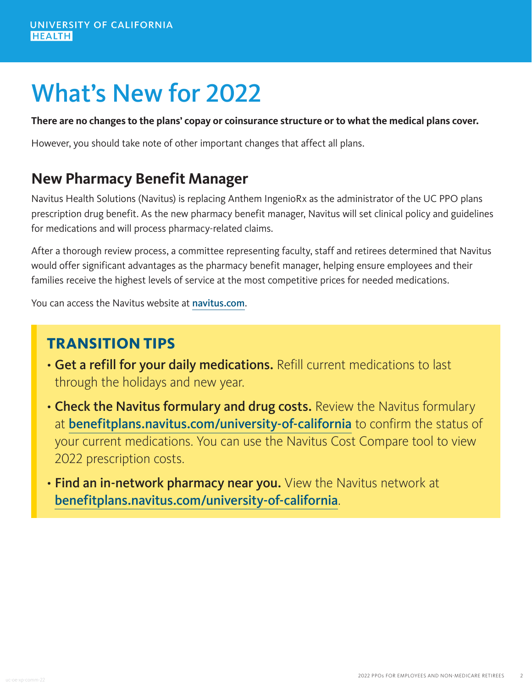## What's New for 2022

#### **There are no changes to the plans' copay or coinsurance structure or to what the medical plans cover.**

However, you should take note of other important changes that affect all plans.

### **New Pharmacy Benefit Manager**

Navitus Health Solutions (Navitus) is replacing Anthem IngenioRx as the administrator of the UC PPO plans prescription drug benefit. As the new pharmacy benefit manager, Navitus will set clinical policy and guidelines for medications and will process pharmacy-related claims.

After a thorough review process, a committee representing faculty, staff and retirees determined that Navitus would offer significant advantages as the pharmacy benefit manager, helping ensure employees and their families receive the highest levels of service at the most competitive prices for needed medications.

You can access the Navitus website at [navitus.com](https://www.navitus.com/).

### **TRANSITION TIPS**

- Get a refill for your daily medications. Refill current medications to last through the holidays and new year.
- Check the Navitus formulary and drug costs. Review the Navitus formulary at [benefitplans.navitus.com/university-of-california](https://benefitplans.navitus.com/university-of-california) to confirm the status of your current medications. You can use the Navitus Cost Compare tool to view 2022 prescription costs.
- Find an in-network pharmacy near you. View the Navitus network at [benefitplans.navitus.com/university-of-california](https://benefitplans.navitus.com/university-of-california).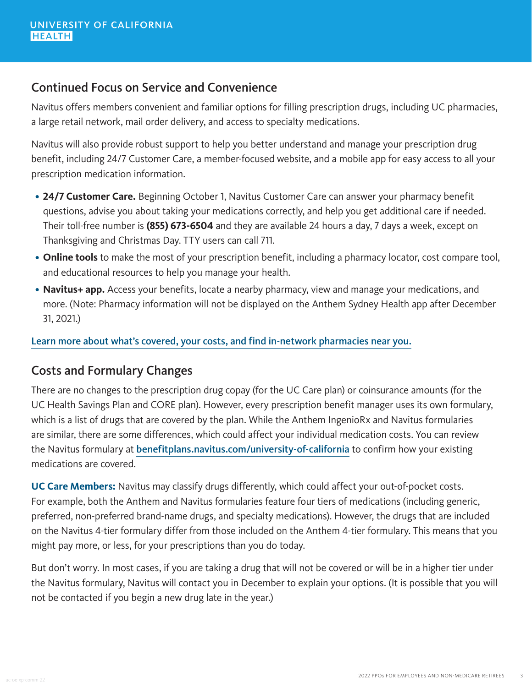#### Continued Focus on Service and Convenience

Navitus offers members convenient and familiar options for filling prescription drugs, including UC pharmacies, a large retail network, mail order delivery, and access to specialty medications.

Navitus will also provide robust support to help you better understand and manage your prescription drug benefit, including 24/7 Customer Care, a member-focused website, and a mobile app for easy access to all your prescription medication information.

- **24/7 Customer Care.** Beginning October 1, Navitus Customer Care can answer your pharmacy benefit questions, advise you about taking your medications correctly, and help you get additional care if needed. Their toll-free number is **(855) 673-6504** and they are available 24 hours a day, 7 days a week, except on Thanksgiving and Christmas Day. TTY users can call 711.
- **Online tools** to make the most of your prescription benefit, including a pharmacy locator, cost compare tool, and educational resources to help you manage your health.
- **Navitus+ app.** Access your benefits, locate a nearby pharmacy, view and manage your medications, and more. (Note: Pharmacy information will not be displayed on the Anthem Sydney Health app after December 31, 2021.)

[Learn more about what's covered, your costs, and find in-network pharmacies near you.](https://benefitplans.navitus.com/university-of-california)

#### Costs and Formulary Changes

There are no changes to the prescription drug copay (for the UC Care plan) or coinsurance amounts (for the UC Health Savings Plan and CORE plan). However, every prescription benefit manager uses its own formulary, which is a list of drugs that are covered by the plan. While the Anthem IngenioRx and Navitus formularies are similar, there are some differences, which could affect your individual medication costs. You can review the Navitus formulary at [benefitplans.navitus.com/university-of-california](https://benefitplans.navitus.com/university-of-california) to confirm how your existing medications are covered.

**UC Care Members:** Navitus may classify drugs differently, which could affect your out-of-pocket costs. For example, both the Anthem and Navitus formularies feature four tiers of medications (including generic, preferred, non-preferred brand-name drugs, and specialty medications). However, the drugs that are included on the Navitus 4-tier formulary differ from those included on the Anthem 4-tier formulary. This means that you might pay more, or less, for your prescriptions than you do today.

But don't worry. In most cases, if you are taking a drug that will not be covered or will be in a higher tier under the Navitus formulary, Navitus will contact you in December to explain your options. (It is possible that you will not be contacted if you begin a new drug late in the year.)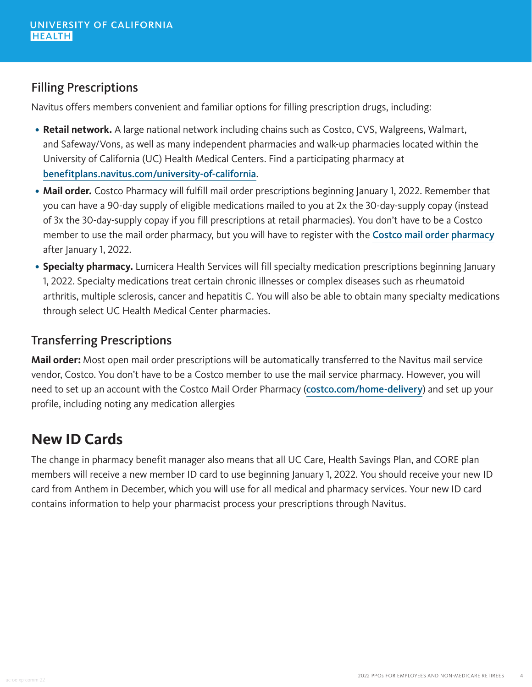#### Filling Prescriptions

Navitus offers members convenient and familiar options for filling prescription drugs, including:

- **Retail network.** A large national network including chains such as Costco, CVS, Walgreens, Walmart, and Safeway/Vons, as well as many independent pharmacies and walk-up pharmacies located within the University of California (UC) Health Medical Centers. Find a participating pharmacy at [benefitplans.navitus.com/university-of-california](https://benefitplans.navitus.com/university-of-california).
- Mail order. Costco Pharmacy will fulfill mail order prescriptions beginning January 1, 2022. Remember that you can have a 90-day supply of eligible medications mailed to you at 2x the 30-day-supply copay (instead of 3x the 30-day-supply copay if you fill prescriptions at retail pharmacies). You don't have to be a Costco member to use the mail order pharmacy, but you will have to register with the [Costco mail order pharmacy](https://www.costco.com/home-delivery) after January 1, 2022.
- **Specialty pharmacy.** Lumicera Health Services will fill specialty medication prescriptions beginning January 1, 2022. Specialty medications treat certain chronic illnesses or complex diseases such as rheumatoid arthritis, multiple sclerosis, cancer and hepatitis C. You will also be able to obtain many specialty medications through select UC Health Medical Center pharmacies.

#### Transferring Prescriptions

**Mail order:** Most open mail order prescriptions will be automatically transferred to the Navitus mail service vendor, Costco. You don't have to be a Costco member to use the mail service pharmacy. However, you will need to set up an account with the Costco Mail Order Pharmacy ([costco.com/home-delivery](https://www.costco.com/home-delivery)) and set up your profile, including noting any medication allergies

### **New ID Cards**

The change in pharmacy benefit manager also means that all UC Care, Health Savings Plan, and CORE plan members will receive a new member ID card to use beginning January 1, 2022. You should receive your new ID card from Anthem in December, which you will use for all medical and pharmacy services. Your new ID card contains information to help your pharmacist process your prescriptions through Navitus.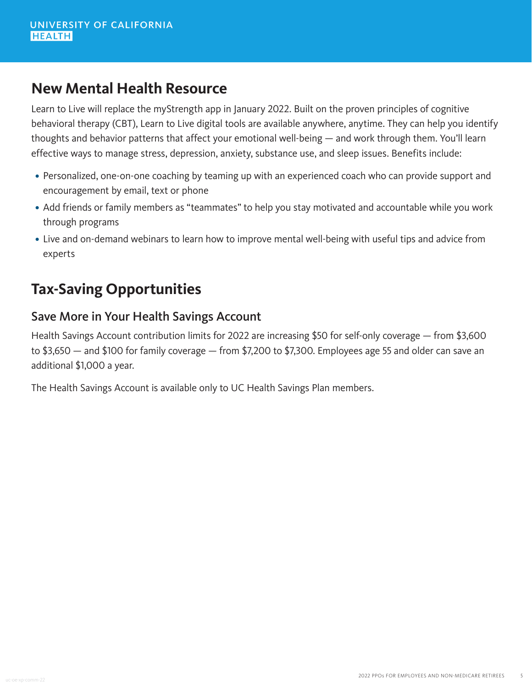#### **New Mental Health Resource**

Learn to Live will replace the myStrength app in January 2022. Built on the proven principles of cognitive behavioral therapy (CBT), Learn to Live digital tools are available anywhere, anytime. They can help you identify thoughts and behavior patterns that affect your emotional well-being — and work through them. You'll learn effective ways to manage stress, depression, anxiety, substance use, and sleep issues. Benefits include:

- Personalized, one-on-one coaching by teaming up with an experienced coach who can provide support and encouragement by email, text or phone
- Add friends or family members as "teammates" to help you stay motivated and accountable while you work through programs
- Live and on-demand webinars to learn how to improve mental well-being with useful tips and advice from experts

## **Tax-Saving Opportunities**

#### Save More in Your Health Savings Account

Health Savings Account contribution limits for 2022 are increasing \$50 for self-only coverage — from \$3,600 to \$3,650 — and \$100 for family coverage — from \$7,200 to \$7,300. Employees age 55 and older can save an additional \$1,000 a year.

The Health Savings Account is available only to UC Health Savings Plan members.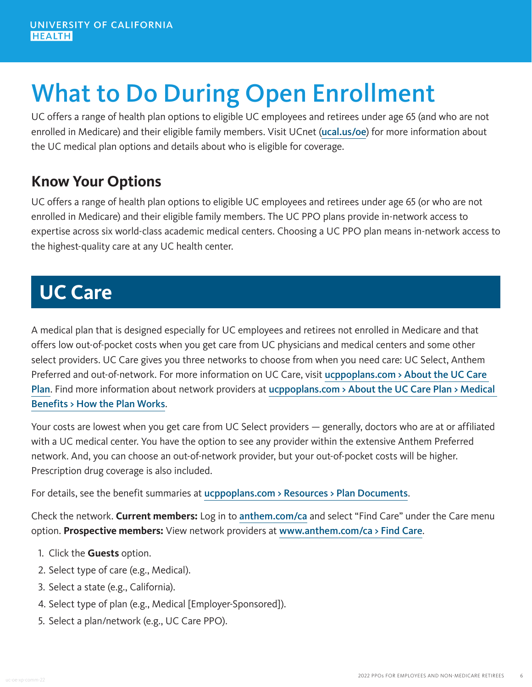## What to Do During Open Enrollment

UC offers a range of health plan options to eligible UC employees and retirees under age 65 (and who are not enrolled in Medicare) and their eligible family members. Visit UCnet ([ucal.us/oe](https://ucal.us/oe)) for more information about the UC medical plan options and details about who is eligible for coverage.

## **Know Your Options**

UC offers a range of health plan options to eligible UC employees and retirees under age 65 (or who are not enrolled in Medicare) and their eligible family members. The UC PPO plans provide in-network access to expertise across six world-class academic medical centers. Choosing a UC PPO plan means in-network access to the highest-quality care at any UC health center.

## **UC Care**

A medical plan that is designed especially for UC employees and retirees not enrolled in Medicare and that offers low out-of-pocket costs when you get care from UC physicians and medical centers and some other select providers. UC Care gives you three networks to choose from when you need care: UC Select, Anthem Preferred and out-of-network. For more information on UC Care, visit ucppoplans.com > About the UC Care [Plan](https://www.ucppoplans.com/ucc/about-the-plan). Find more information about network providers at ucppoplans.com > About the UC Care Plan > Medical [Benefits > How the Plan Works](https://www.ucppoplans.com/ucc/about-the-plan/medical-benefits/how-the-plan-works).

Your costs are lowest when you get care from UC Select providers — generally, doctors who are at or affiliated with a UC medical center. You have the option to see any provider within the extensive Anthem Preferred network. And, you can choose an out-of-network provider, but your out-of-pocket costs will be higher. Prescription drug coverage is also included.

For details, see the benefit summaries at [ucppoplans.com > Resources > Plan Documents](https://www.ucppoplans.com/resources/plan-documents/uc-care).

Check the network. **Current members:** Log in to [anthem.com/ca](https://www.anthem.com/ca) and select "Find Care" under the Care menu option. **Prospective members:** View network providers at [www.anthem.com/ca > Find Care](https://www.anthem.com/find-care/).

- 1. Click the **Guests** option.
- 2. Select type of care (e.g., Medical).
- 3. Select a state (e.g., California).
- 4. Select type of plan (e.g., Medical [Employer-Sponsored]).
- 5. Select a plan/network (e.g., UC Care PPO).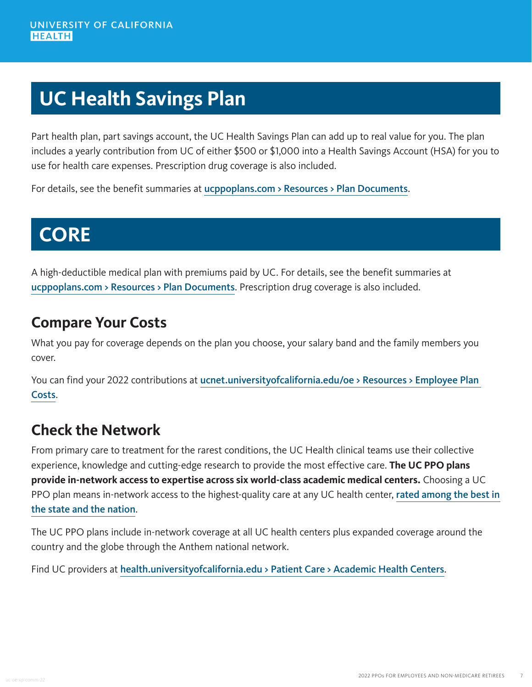## **UC Health Savings Plan**

Part health plan, part savings account, the UC Health Savings Plan can add up to real value for you. The plan includes a yearly contribution from UC of either \$500 or \$1,000 into a Health Savings Account (HSA) for you to use for health care expenses. Prescription drug coverage is also included.

For details, see the benefit summaries at [ucppoplans.com > Resources > Plan Documents](https://www.ucppoplans.com/resources/plan-documents/uc-health-savings-plan).

## **CORE**

A high-deductible medical plan with premiums paid by UC. For details, see the benefit summaries at [ucppoplans.com > Resources > Plan Documents](https://www.ucppoplans.com/resources/plan-documents/uc-health-savings-plan). Prescription drug coverage is also included.

### **Compare Your Costs**

What you pay for coverage depends on the plan you choose, your salary band and the family members you cover.

You can find your 2022 contributions at [ucnet.universityofcalifornia.edu/oe > Resources > Employee Plan](https://ucnet.universityofcalifornia.edu/oe/medical-plans/faculty-staff/plan-costs.html)  [Costs](https://ucnet.universityofcalifornia.edu/oe/medical-plans/faculty-staff/plan-costs.html).

## **Check the Network**

From primary care to treatment for the rarest conditions, the UC Health clinical teams use their collective experience, knowledge and cutting-edge research to provide the most effective care. **The UC PPO plans provide in-network access to expertise across six world-class academic medical centers.** Choosing a UC PPO plan means in-network access to the highest-quality care at any UC health center, rated among the best in [the state and the nation](https://health.usnews.com/best-hospitals).

The UC PPO plans include in-network coverage at all UC health centers plus expanded coverage around the country and the globe through the Anthem national network.

Find UC providers at [health.universityofcalifornia.edu > Patient Care > Academic Health Centers](https://health.universityofcalifornia.edu/patient-care/academic-health-centers).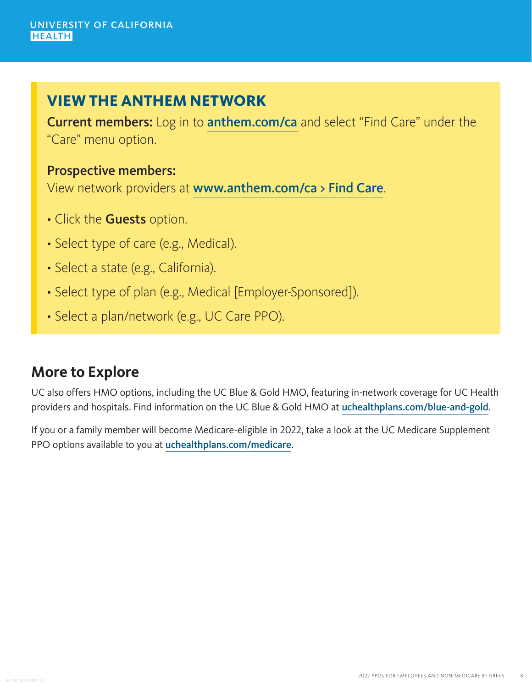#### **VIEW THE ANTHEM NETWORK**

Current members: Log in to [anthem.com/ca](https://www.anthem.com/ca) and select "Find Care" under the "Care" menu option.

#### Prospective members:

View network providers at [www.anthem.com/ca > Find Care](https://www.anthem.com/find-care/).

- Click the Guests option.
- Select type of care (e.g., Medical).
- Select a state (e.g., California).
- Select type of plan (e.g., Medical [Employer-Sponsored]).
- Select a plan/network (e.g., UC Care PPO).

### **More to Explore**

UC also offers HMO options, including the UC Blue & Gold HMO, featuring in-network coverage for UC Health providers and hospitals. Find information on the UC Blue & Gold HMO at [uchealthplans.com/blue-and-gold](https://uchealthplans.com/blue-and-gold/).

If you or a family member will become Medicare-eligible in 2022, take a look at the UC Medicare Supplement PPO options available to you at [uchealthplans.com/medicare](https://uchealthplans.com/medicare/).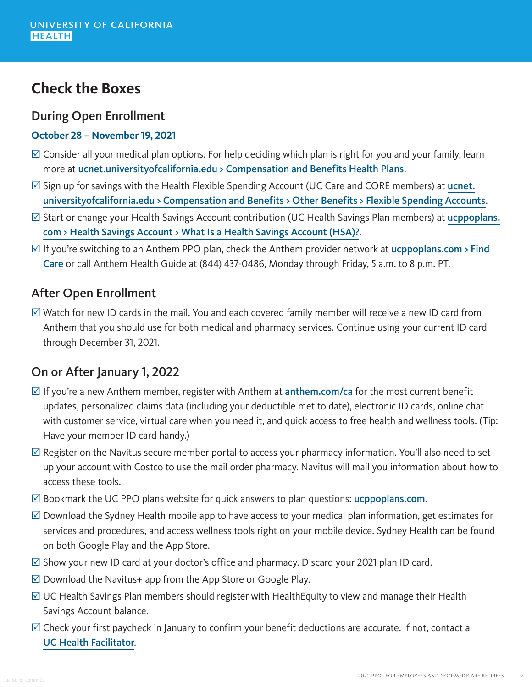### **Check the Boxes**

#### During Open Enrollment

#### **October 28 – November 19, 2021**

- $\boxtimes$  Consider all your medical plan options. For help deciding which plan is right for you and your family, learn more at [ucnet.universityofcalifornia.edu > Compensation and Benefits Health Plans](https://ucnet.universityofcalifornia.edu/compensation-and-benefits/health-plans/index.html).
- $\boxtimes$  Sign up for savings with the Health Flexible Spending Account (UC Care and CORE members) at [ucnet.](https://ucnet.universityofcalifornia.edu/compensation-and-benefits/other-benefits/flexible-spending-accounts/index.html) [universityofcalifornia.edu > Compensation and Benefits > Other Benefits > Flexible Spending Accounts](https://ucnet.universityofcalifornia.edu/compensation-and-benefits/other-benefits/flexible-spending-accounts/index.html).
- $\boxtimes$  Start or change your Health Savings Account contribution (UC Health Savings Plan members) at [ucppoplans.](https://www.ucppoplans.com/hsp/health-savings-account/what-is-a-health-savings-account) [com > Health Savings Account > What Is a Health Savings Account \(HSA\)?](https://www.ucppoplans.com/hsp/health-savings-account/what-is-a-health-savings-account).
- $\boxtimes$  If you're switching to an Anthem PPO plan, check the Anthem provider network at ucppoplans.com > Find [Care](https://www.ucppoplans.com/nh/find-care) or call Anthem Health Guide at (844) 437-0486, Monday through Friday, 5 a.m. to 8 p.m. PT.

#### After Open Enrollment

 $\boxtimes$  Watch for new ID cards in the mail. You and each covered family member will receive a new ID card from Anthem that you should use for both medical and pharmacy services. Continue using your current ID card through December 31, 2021.

#### On or After January 1, 2022

- $\boxtimes$  If you're a new Anthem member, register with Anthem at [anthem.com/ca](http://www.anthem.com/ca) for the most current benefit updates, personalized claims data (including your deductible met to date), electronic ID cards, online chat with customer service, virtual care when you need it, and quick access to free health and wellness tools. (Tip: Have your member ID card handy.)
- $\mathbb Z$  Register on the Navitus secure member portal to access your pharmacy information. You'll also need to set up your account with Costco to use the mail order pharmacy. Navitus will mail you information about how to access these tools.
- $\mathbb Z$  Bookmark the UC PPO plans website for quick answers to plan questions: [ucppoplans.com](https://www.ucppoplans.com/).
- $\boxtimes$  Download the Sydney Health mobile app to have access to your medical plan information, get estimates for services and procedures, and access wellness tools right on your mobile device. Sydney Health can be found on both Google Play and the App Store.
- $\boxtimes$  Show your new ID card at your doctor's office and pharmacy. Discard your 2021 plan ID card.
- $\boxtimes$  Download the Navitus+ app from the App Store or Google Play.
- $\mathbb Z$  UC Health Savings Plan members should register with HealthEquity to view and manage their Health Savings Account balance.
- $\boxtimes$  Check your first paycheck in January to confirm your benefit deductions are accurate. If not, contact a [UC Health Facilitator](https://ucnet.universityofcalifornia.edu/contacts/health-care-facilitators.html).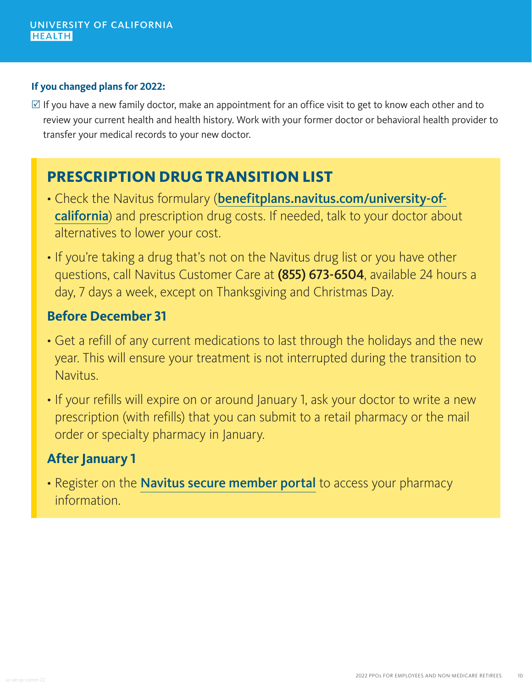#### **If you changed plans for 2022:**

 $\boxtimes$  If you have a new family doctor, make an appointment for an office visit to get to know each other and to review your current health and health history. Work with your former doctor or behavioral health provider to transfer your medical records to your new doctor.

## **PRESCRIPTION DRUG TRANSITION LIST**

- Check the Navitus formulary ([benefitplans.navitus.com/university-of](https://benefitplans.navitus.com/university-of-california)[california](https://benefitplans.navitus.com/university-of-california)) and prescription drug costs. If needed, talk to your doctor about alternatives to lower your cost.
- If you're taking a drug that's not on the Navitus drug list or you have other questions, call Navitus Customer Care at (855) 673-6504, available 24 hours a day, 7 days a week, except on Thanksgiving and Christmas Day.

#### **Before December 31**

- Get a refill of any current medications to last through the holidays and the new year. This will ensure your treatment is not interrupted during the transition to Navitus.
- If your refills will expire on or around January 1, ask your doctor to write a new prescription (with refills) that you can submit to a retail pharmacy or the mail order or specialty pharmacy in January.

#### **After January 1**

• Register on the [Navitus secure member portal](https://memberportal.navitus.com/landing) to access your pharmacy information.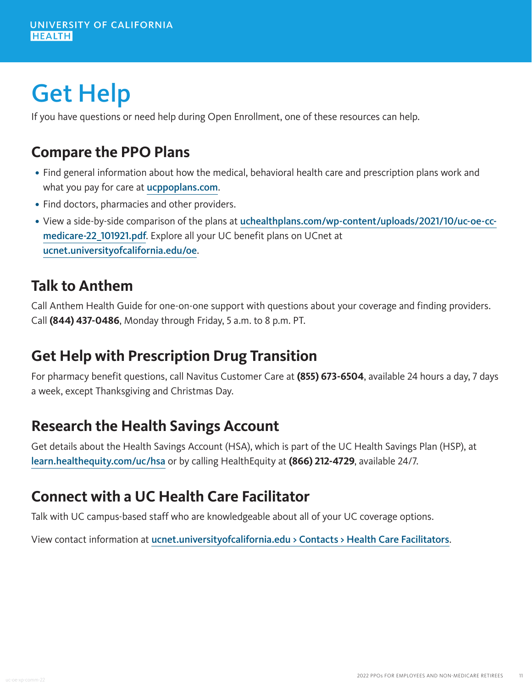## Get Help

If you have questions or need help during Open Enrollment, one of these resources can help.

### **Compare the PPO Plans**

- Find general information about how the medical, behavioral health care and prescription plans work and what you pay for care at **[ucppoplans.com](https://www.ucppoplans.com/).**
- Find doctors, pharmacies and other providers.
- View a side-by-side comparison of the plans at [uchealthplans.com/wp-content/uploads/2021/10/uc-oe-cc](https://uchealthplans.com/wp-content/uploads/2021/10/uc-oe-cc-non-medicare-22_101921.pdf)[medicare-22\\_101921.pdf](https://uchealthplans.com/wp-content/uploads/2021/10/uc-oe-cc-non-medicare-22_101921.pdf). Explore all your UC benefit plans on UCnet at [ucnet.universityofcalifornia.edu/oe](https://ucnet.universityofcalifornia.edu/oe/).

#### **Talk to Anthem**

Call Anthem Health Guide for one-on-one support with questions about your coverage and finding providers. Call **(844) 437-0486**, Monday through Friday, 5 a.m. to 8 p.m. PT.

## **Get Help with Prescription Drug Transition**

For pharmacy benefit questions, call Navitus Customer Care at **(855) 673-6504**, available 24 hours a day, 7 days a week, except Thanksgiving and Christmas Day.

## **Research the Health Savings Account**

Get details about the Health Savings Account (HSA), which is part of the UC Health Savings Plan (HSP), at [learn.healthequity.com/uc/hsa](https://learn.healthequity.com/uc/hsa/) or by calling HealthEquity at **(866) 212-4729**, available 24/7.

## **Connect with a UC Health Care Facilitator**

Talk with UC campus-based staff who are knowledgeable about all of your UC coverage options.

View contact information at [ucnet.universityofcalifornia.edu > Contacts > Health Care Facilitators](https://ucnet.universityofcalifornia.edu/contacts/health-care-facilitators.html).